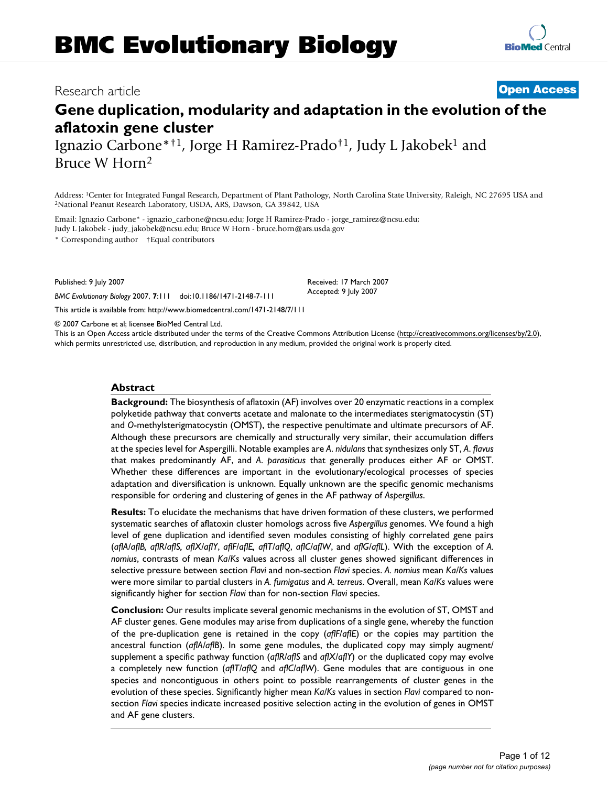## Research article **[Open Access](http://www.biomedcentral.com/info/about/charter/)**

# **Gene duplication, modularity and adaptation in the evolution of the aflatoxin gene cluster**

Ignazio Carbone\*†1, Jorge H Ramirez-Prado†1, Judy L Jakobek1 and Bruce W Horn2

Address: <sup>1</sup>Center for Integrated Fungal Research, Department of Plant Pathology, North Carolina State University, Raleigh, NC 27695 USA and <sup>2</sup>National Peanut Research Laboratory, USDA, ARS, Dawson, GA 39842, USA

Email: Ignazio Carbone\* - ignazio\_carbone@ncsu.edu; Jorge H Ramirez-Prado - jorge\_ramirez@ncsu.edu; Judy L Jakobek - judy\_jakobek@ncsu.edu; Bruce W Horn - bruce.horn@ars.usda.gov

\* Corresponding author †Equal contributors

Published: 9 July 2007

*BMC Evolutionary Biology* 2007, **7**:111 doi:10.1186/1471-2148-7-111

[This article is available from: http://www.biomedcentral.com/1471-2148/7/111](http://www.biomedcentral.com/1471-2148/7/111)

© 2007 Carbone et al; licensee BioMed Central Ltd.

This is an Open Access article distributed under the terms of the Creative Commons Attribution License [\(http://creativecommons.org/licenses/by/2.0\)](http://creativecommons.org/licenses/by/2.0), which permits unrestricted use, distribution, and reproduction in any medium, provided the original work is properly cited.

## **Abstract**

**Background:** The biosynthesis of aflatoxin (AF) involves over 20 enzymatic reactions in a complex polyketide pathway that converts acetate and malonate to the intermediates sterigmatocystin (ST) and *O*-methylsterigmatocystin (OMST), the respective penultimate and ultimate precursors of AF. Although these precursors are chemically and structurally very similar, their accumulation differs at the species level for Aspergilli. Notable examples are *A*. *nidulans* that synthesizes only ST, *A*. *flavus* that makes predominantly AF, and *A*. *parasiticus* that generally produces either AF or OMST. Whether these differences are important in the evolutionary/ecological processes of species adaptation and diversification is unknown. Equally unknown are the specific genomic mechanisms responsible for ordering and clustering of genes in the AF pathway of *Aspergillus*.

**Results:** To elucidate the mechanisms that have driven formation of these clusters, we performed systematic searches of aflatoxin cluster homologs across five *Aspergillus* genomes. We found a high level of gene duplication and identified seven modules consisting of highly correlated gene pairs (*aflA/aflB, aflR/aflS, aflX/aflY*, *aflF/aflE, aflT/aflQ*, *aflC/aflW*, and *aflG/aflL*). With the exception of *A. nomius*, contrasts of mean *Ka/Ks* values across all cluster genes showed significant differences in selective pressure between section *Flavi* and non-section *Flavi* species. *A. nomius* mean *Ka/Ks* values were more similar to partial clusters in *A. fumigatus* and *A. terreus*. Overall, mean *Ka/Ks* values were significantly higher for section *Flavi* than for non-section *Flavi* species.

**Conclusion:** Our results implicate several genomic mechanisms in the evolution of ST, OMST and AF cluster genes. Gene modules may arise from duplications of a single gene, whereby the function of the pre-duplication gene is retained in the copy (*aflF*/*aflE*) or the copies may partition the ancestral function (*aflA/aflB*). In some gene modules, the duplicated copy may simply augment/ supplement a specific pathway function (*aflR/aflS* and *aflX/aflY*) or the duplicated copy may evolve a completely new function (*aflT/aflQ* and *aflC/aflW*). Gene modules that are contiguous in one species and noncontiguous in others point to possible rearrangements of cluster genes in the evolution of these species. Significantly higher mean *Ka/Ks* values in section *Flavi* compared to nonsection *Flavi* species indicate increased positive selection acting in the evolution of genes in OMST and AF gene clusters.

Received: 17 March 2007 Accepted: 9 July 2007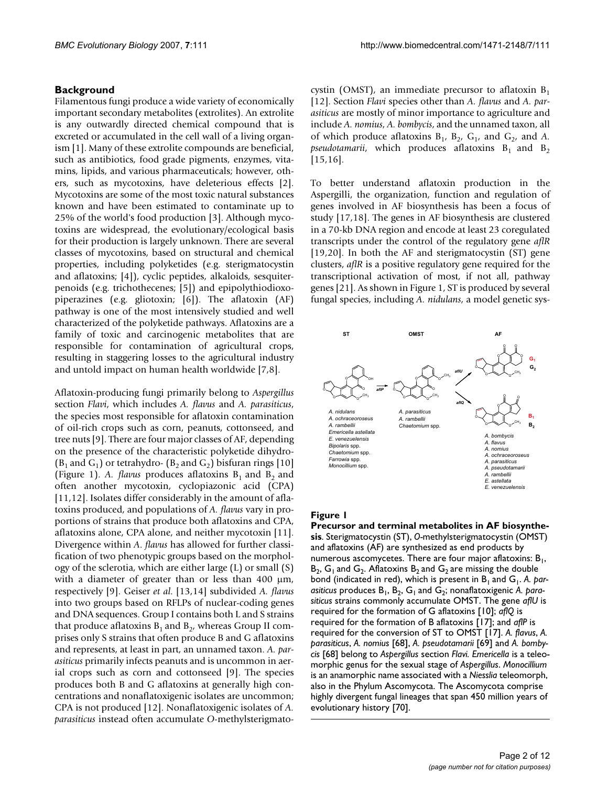## **Background**

Filamentous fungi produce a wide variety of economically important secondary metabolites (extrolites). An extrolite is any outwardly directed chemical compound that is excreted or accumulated in the cell wall of a living organism [1]. Many of these extrolite compounds are beneficial, such as antibiotics, food grade pigments, enzymes, vitamins, lipids, and various pharmaceuticals; however, others, such as mycotoxins, have deleterious effects [2]. Mycotoxins are some of the most toxic natural substances known and have been estimated to contaminate up to 25% of the world's food production [3]. Although mycotoxins are widespread, the evolutionary/ecological basis for their production is largely unknown. There are several classes of mycotoxins, based on structural and chemical properties, including polyketides (e.g. sterigmatocystin and aflatoxins; [4]), cyclic peptides, alkaloids, sesquiterpenoids (e.g. trichothecenes; [5]) and epipolythiodioxopiperazines (e.g. gliotoxin; [6]). The aflatoxin (AF) pathway is one of the most intensively studied and well characterized of the polyketide pathways. Aflatoxins are a family of toxic and carcinogenic metabolites that are responsible for contamination of agricultural crops, resulting in staggering losses to the agricultural industry and untold impact on human health worldwide [7,8].

Aflatoxin-producing fungi primarily belong to *Aspergillus* section *Flavi*, which includes *A. flavus* and *A. parasiticus*, the species most responsible for aflatoxin contamination of oil-rich crops such as corn, peanuts, cottonseed, and tree nuts [9]. There are four major classes of AF, depending on the presence of the characteristic polyketide dihydro-  $(B_1 \text{ and } G_1)$  or tetrahydro-  $(B_2 \text{ and } G_2)$  bisfuran rings [10] (Figure 1). A. *flavus* produces aflatoxins  $B_1$  and  $B_2$  and often another mycotoxin, cyclopiazonic acid (CPA) [11,12]. Isolates differ considerably in the amount of aflatoxins produced, and populations of *A. flavus* vary in proportions of strains that produce both aflatoxins and CPA, aflatoxins alone, CPA alone, and neither mycotoxin [11]. Divergence within *A*. *flavus* has allowed for further classification of two phenotypic groups based on the morphology of the sclerotia, which are either large (L) or small (S) with a diameter of greater than or less than 400 μm, respectively [9]. Geiser *et al*. [13,14] subdivided *A. flavus* into two groups based on RFLPs of nuclear-coding genes and DNA sequences. Group I contains both L and S strains that produce aflatoxins  $B_1$  and  $B_2$ , whereas Group II comprises only S strains that often produce B and G aflatoxins and represents, at least in part, an unnamed taxon. *A. parasiticus* primarily infects peanuts and is uncommon in aerial crops such as corn and cottonseed [9]. The species produces both B and G aflatoxins at generally high concentrations and nonaflatoxigenic isolates are uncommon; CPA is not produced [12]. Nonaflatoxigenic isolates of *A. parasiticus* instead often accumulate *O*-methylsterigmatocystin (OMST), an immediate precursor to aflatoxin  $B_1$ [12]. Section *Flavi* species other than *A. flavus* and *A. parasiticus* are mostly of minor importance to agriculture and include *A. nomius*, *A. bombycis*, and the unnamed taxon, all of which produce aflatoxins  $B_1$ ,  $B_2$ ,  $G_1$ , and  $G_2$ , and A. *pseudotamarii*, which produces aflatoxins  $B_1$  and  $B_2$ [15,16].

To better understand aflatoxin production in the Aspergilli, the organization, function and regulation of genes involved in AF biosynthesis has been a focus of study [17,18]. The genes in AF biosynthesis are clustered in a 70-kb DNA region and encode at least 23 coregulated transcripts under the control of the regulatory gene *aflR* [19,20]. In both the AF and sterigmatocystin (ST) gene clusters, *aflR* is a positive regulatory gene required for the transcriptional activation of most, if not all, pathway genes [21]. As shown in Figure 1, ST is produced by several fungal species, including *A. nidulans*, a model genetic sys-



#### Figure 1

**Precursor and terminal metabolites in AF biosynthesis**. Sterigmatocystin (ST), *O-*methylsterigmatocystin (OMST) and aflatoxins (AF) are synthesized as end products by numerous ascomycetes. There are four major aflatoxins:  $B_1$ ,  $B_2$ ,  $G_1$  and  $G_2$ . Aflatoxins  $B_2$  and  $G_2$  are missing the double bond (indicated in red), which is present in B<sub>1</sub> and G<sub>1</sub>. A. parasiticus produces B<sub>1</sub>, B<sub>2</sub>, G<sub>1</sub> and G<sub>2</sub>; nonaflatoxigenic A. para*siticus* strains commonly accumulate OMST. The gene *aflU* is required for the formation of G aflatoxins [10]; *aflQ* is required for the formation of B aflatoxins [17]; and *aflP* is required for the conversion of ST to OMST [17]. *A. flavus*, *A. parasiticus*, *A. nomius* [68], *A. pseudotamarii* [69] and *A. bombycis* [68] belong to *Aspergillus* section *Flavi. Emericella* is a teleomorphic genus for the sexual stage of *Aspergillus*. *Monocillium*  is an anamorphic name associated with a *Niesslia* teleomorph, also in the Phylum Ascomycota. The Ascomycota comprise highly divergent fungal lineages that span 450 million years of evolutionary history [70].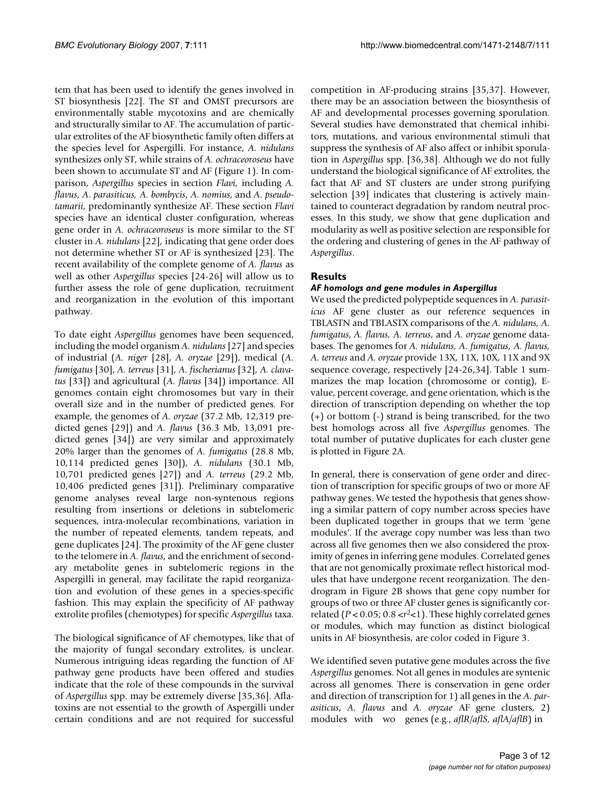tem that has been used to identify the genes involved in ST biosynthesis [22]. The ST and OMST precursors are environmentally stable mycotoxins and are chemically and structurally similar to AF. The accumulation of particular extrolites of the AF biosynthetic family often differs at the species level for Aspergilli. For instance, *A*. *nidulans* synthesizes only ST, while strains of *A. ochraceoroseus* have been shown to accumulate ST and AF (Figure 1). In comparison, *Aspergillus* species in section *Flavi*, including *A*. *flavus*, *A*. *parasiticus, A*. *bombycis*, *A*. *nomius*, and *A*. *pseudotamarii*, predominantly synthesize AF. These section *Flavi* species have an identical cluster configuration, whereas gene order in *A. ochraceoroseus* is more similar to the ST cluster in *A. nidulans* [22], indicating that gene order does not determine whether ST or AF is synthesized [23]. The recent availability of the complete genome of *A. flavus* as well as other *Aspergillus* species [24-26] will allow us to further assess the role of gene duplication, recruitment and reorganization in the evolution of this important pathway.

To date eight *Aspergillus* genomes have been sequenced, including the model organism *A. nidulans* [27] and species of industrial (*A. niger* [28], *A. oryzae* [29]), medical (*A. fumigatus* [30], *A. terreus* [31]*, A. fischerianus* [32]*, A. clavatus* [33]) and agricultural (*A. flavus* [34]) importance. All genomes contain eight chromosomes but vary in their overall size and in the number of predicted genes. For example, the genomes of *A. oryzae* (37.2 Mb, 12,319 predicted genes [29]) and *A. flavus* (36.3 Mb, 13,091 predicted genes [34]) are very similar and approximately 20% larger than the genomes of *A. fumigatus* (28.8 Mb, 10,114 predicted genes [30]), *A. nidulans* (30.1 Mb, 10,701 predicted genes [27]) and *A. terreus* (29.2 Mb, 10,406 predicted genes [31]). Preliminary comparative genome analyses reveal large non-syntenous regions resulting from insertions or deletions in subtelomeric sequences, intra-molecular recombinations, variation in the number of repeated elements, tandem repeats, and gene duplicates [24]. The proximity of the AF gene cluster to the telomere in *A. flavus*, and the enrichment of secondary metabolite genes in subtelomeric regions in the Aspergilli in general, may facilitate the rapid reorganization and evolution of these genes in a species-specific fashion. This may explain the specificity of AF pathway extrolite profiles (chemotypes) for specific *Aspergillus* taxa.

The biological significance of AF chemotypes, like that of the majority of fungal secondary extrolites, is unclear. Numerous intriguing ideas regarding the function of AF pathway gene products have been offered and studies indicate that the role of these compounds in the survival of *Aspergillus* spp. may be extremely diverse [35,36]. Aflatoxins are not essential to the growth of Aspergilli under certain conditions and are not required for successful

competition in AF-producing strains [35,37]. However, there may be an association between the biosynthesis of AF and developmental processes governing sporulation. Several studies have demonstrated that chemical inhibitors, mutations, and various environmental stimuli that suppress the synthesis of AF also affect or inhibit sporulation in *Aspergillus* spp. [36,38]. Although we do not fully understand the biological significance of AF extrolites, the fact that AF and ST clusters are under strong purifying selection [39] indicates that clustering is actively maintained to counteract degradation by random neutral processes. In this study, we show that gene duplication and modularity as well as positive selection are responsible for the ordering and clustering of genes in the AF pathway of *Aspergillus*.

## **Results**

## *AF homologs and gene modules in Aspergillus*

We used the predicted polypeptide sequences in *A. parasiticus* AF gene cluster as our reference sequences in TBLASTN and TBLASTX comparisons of the *A. nidulans, A. fumigatus*, *A. flavus, A. terreus*, and *A. oryzae* genome databases. The genomes for *A. nidulans, A. fumigatus, A. flavus, A. terreus* and *A. oryzae* provide 13X, 11X, 10X, 11X and 9X sequence coverage, respectively [24-26,34]. Table 1 summarizes the map location (chromosome or contig), Evalue, percent coverage, and gene orientation, which is the direction of transcription depending on whether the top (+) or bottom (-) strand is being transcribed, for the two best homologs across all five *Aspergillus* genomes. The total number of putative duplicates for each cluster gene is plotted in Figure 2A.

In general, there is conservation of gene order and direction of transcription for specific groups of two or more AF pathway genes. We tested the hypothesis that genes showing a similar pattern of copy number across species have been duplicated together in groups that we term 'gene modules'. If the average copy number was less than two across all five genomes then we also considered the proximity of genes in inferring gene modules. Correlated genes that are not genomically proximate reflect historical modules that have undergone recent reorganization. The dendrogram in Figure 2B shows that gene copy number for groups of two or three AF cluster genes is significantly correlated (*P* < 0.05; 0.8 <*r*<sup>2</sup>*<*1). These highly correlated genes or modules, which may function as distinct biological units in AF biosynthesis, are color coded in Figure 3.

We identified seven putative gene modules across the five *Aspergillus* genomes. Not all genes in modules are syntenic across all genomes. There is conservation in gene order and direction of transcription for 1) all genes in the *A. parasiticus*, *A. flavus* and *A. oryzae* AF gene clusters, 2) modules with wo genes (e.g., *aflR/aflS, aflA/aflB*) in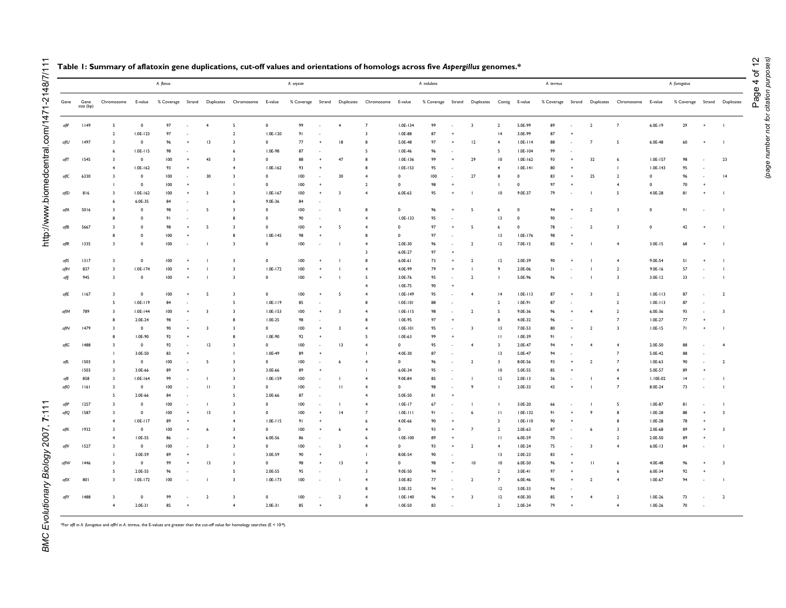#### *BMC Evolutionary Biology* 2007, 7:111 http://www.biomedcentral.com/1471-2148/7/111 *A. flavus A. oryzae A. nidulans A. terreus A. fumigatus* Gene Gene size (bp) Chromosome E-value %Coverage Strand Duplicates Chromosome E-value %Coverage Strand Duplicates Chromosome E-value %Coverage Strand Duplicates Contig E-value %Coverage Strand Duplicates Chromosome E-value %Coverage Strand Du *aflF* 1149 5 0 97 - 4 5 0 99 - 4 7 1.0E-134 99 - 3 2 5.0E-99 89 - 2 7 6.0E-19 29 + 1 2 1.0E-123 97 - 2 1.0E-120 91 - 3 1.0E-88 87 + 14 3.0E-99 87 + *aflU* 1497 3 0 96 + 13 3 0 77 + 18 8 5.0E-48 97 + 12 4 1.0E-114 88 - 7 5 6.0E-48 60 + 1 6 1.0E-115 98 - 6 1.0E-98 87 - 5 1.0E-46 96 - 5 1.0E-104 99 *aflT* 1545 3 0 100 + 43 3 0 88 + 47 8 1.0E-136 99 + 29 10 1.0E-162 93 + 32 6 1.0E-157 98 - 23 4 1.0E-162 93 + 4 1.0E-162 93 + 8 1.0E-153 95 - 4 1.0E-141 80 + 1 1.0E-143 95 *aflC* 6330 3 0 100 - 30 3 0 100 - 30 4 0 100 - 27 8 0 83 + 25 2 0 96 - 14 1 0 100 + 1 0 100 + 2 0 98 + 1 0 97 + 4 0 70 + *aflD* 816 3 1.0E-162 100 + 3 3 1.0E-167 100 + 3 4 6.0E-65 95 + 1 10 9.0E-37 79 - 1 5 4.0E-28 81 + 1 6 6.0E-35 84 - 6 9.0E-36 84 *aflA* 5016 3 0 98 - 5 3 0 100 - 5 8 0 96 + 5 6 0 94 + 2 3 0 91 - 1 8 0 91 - 8 0 90 - 4 1.0E-133 95 - 13 0 90 *aflB* 5667 3 0 98 + 5 3 0 100 + 5 4 0 97 + 5 6 0 78 - 2 3 0 42 + 1 8 0 100 + 8 1.0E-145 98 + 8 0 97 - 13 1.0E-176 98 + *aflR* 1335 3 0 100 - 1 3 0 100 - 1 4 2.0E-30 96 - 2 12 7.0E-15 85 + 1 4 3.0E-15 68 + 1 3 6.0E-27 97 + *aflS* 1317 3 0 100 + 1 3 0 100 + 1 8 6.0E-61 73 + 2 12 2.0E-39 90 + 1 4 9.0E-54 51 + 1 *aflH* 837 3 1.0E-174 100 + 1 3 1.0E-172 100 + 1 4 4.0E-99 79 + 1 9 2.0E-06 31 - 1 2 9.0E-16 57 - 1 *aflJ* 945 3 0 100 + 1 3 0 100 + 1 5 3.0E-76 95 - 2 1 5.0E-96 96 - 1 3 3.0E-12 33 - 1 4 1.0E-75 90 + *aflE* 1167 3 0 100 + 5 3 0 100 + 5 4 1.0E-149 95 - 4 14 1.0E-113 87 + 3 2 1.0E-113 87 - 2 5 1.0E-119 84 - 5 1.0E-119 85 - 8 1.0E-101 88 - 2 1.0E-91 87 - 2 1.0E-113 87 *aflM* 789 3 1.0E-144 100 + 3 3 1.0E-153 100 + 3 4 1.0E-115 98 - 2 5 9.0E-36 96 + 4 2 6.0E-36 93 - 3 8 2.0E-24 98 - 8 1.0E-25 98 - 8 1.0E-95 97 + 8 4.0E-32 96 - 7 1.0E-27 77 + *aflN* 1479 3 0 90 + 3 3 0 100 + 3 4 1.0E-101 95 - 3 13 7.0E-53 80 + 2 3 1.0E-15 71 + 1 8 1.0E-90 92 + 8 1.0E-90 92 + 5 1.0E-63 99 + 11 1.0E-39 91 *aflG* 1488 3 0 92 - 12 3 0 100 - 13 4 0 95 - 4 3 2.0E-47 94 + 4 4 2.0E-50 88 - 4 1 3.0E-50 83 + 1 1.0E-49 89 + 1 4.0E-30 87 - 13 5.0E-47 94 - 7 5.0E-42 88 *aflL* 1503 3 0 100 - 5 3 0 100 - 6 4 0 96 - 2 3 8.0E-56 93 + 2 7 1.0E-63 90 - 2 1503 3 3.0E-66 89 + 3 3.0E-66 89 + 1 6.0E-34 95 - 10 5.0E-55 85 + 4 5.0E-57 89 + *aflI* 858 3 1.0E-164 99 - 1 3 1.0E-159 100 - 1 4 9.0E-84 85 - 1 12 2.0E-13 36 - 1 4 1.10E-02 14 - 1 *aflO* 1161 3 0 100 - 11 3 0 100 - 11 4 0 98 - 9 1 2.0E-33 43 + 1 7 8.0E-24 73 - 1 5 2.0E-66 84 - 5 2.0E-66 87 - 4 5.0E-50 81 + *aflP* 1257 3 0 100 - 1 3 0 100 - 1 4 1.0E-17 67 - 1 1 3.0E-20 66 - 1 5 1.0E-87 81 - 1 *aflQ* 1587 3 0 100 + 13 3 0 100 + 14 7 1.0E-111 91 - 6 11 1.0E-132 91 + 9 8 1.0E-28 88 + 3 4 1.0E-117 89 + 4 1.0E-115 91 + 6 4.0E-66 90 + 3 1.0E-110 90 + 8 1.0E-28 78 + *aflK* 1932 3 0 100 + 6 3 0 100 + 6 4 0 93 + 7 2 2.0E-63 87 - 6 3 2.0E-68 89 + 3 4 1.0E-55 86 - 4 6.0E-56 86 - 6 1.0E-100 89 + 11 6.0E-59 70 - 2 2.0E-50 89 + *aflV* 1527 3 0 100 - 3 3 0 100 - 3 4 0 93 + 2 4 1.0E-24 75 - 3 4 6.0E-13 84 - 1 1 3.0E-59 89 + 1 3.0E-59 90 + 1 8.0E-54 90 - 13 2.0E-23 83 + *aflW* 1446 3 0 99 + 13 3 0 98 + 13 4 0 98 + 10 10 6.0E-50 96 + 11 6 4.0E-48 96 + 3 5 2.0E-55 96 - 5 2.0E-55 95 - 3 9.0E-50 94 - 2 3.0E-41 97 + 6 6.0E-34 92 + *aflX* 801 3 1.0E-172 100 - 1 3 1.0E-173 100 - 1 4 3.0E-82 77 - 2 7 6.0E-46 95 + 2 4 1.0E-67 94 - 1 8 3.0E-32 94 - 12 3.0E-33 94 *aflY* 1488 3 0 99 - 2 3 0 100 - 2 4 1.0E-140 96 + 3 12 4.0E-30 85 + 4 2 1.0E-26 73 - 2 4 2.0E-31 85 + 4 2.0E-31 85 + 8 1.0E-50 83 - 2 2.0E-24 79 + 4 1.0E-26 70 -

**Table 1: Summary of aflatoxin gene duplications, cut-off values and orientations of homologs across five** *Aspergillus* **genomes.\***

\*For *aflI* in *A. fumigatus* and *aflH* in *A. terreus*, the E-values are greater than the cut-off value for homology searches (E < 10-8).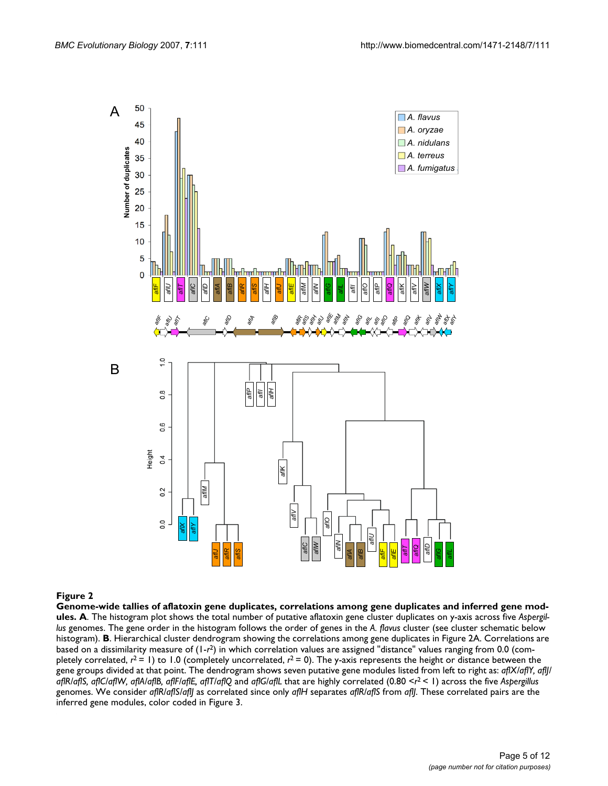

## Genome-wide tallies of aflato **Figure 2** xin gene duplicates, correlations among gene duplicates and inferred gene modules

**Genome-wide tallies of aflatoxin gene duplicates, correlations among gene duplicates and inferred gene modules. A**. The histogram plot shows the total number of putative aflatoxin gene cluster duplicates on y-axis across five *Aspergillus* genomes. The gene order in the histogram follows the order of genes in the *A. flavus* cluster (see cluster schematic below histogram). **B**. Hierarchical cluster dendrogram showing the correlations among gene duplicates in Figure 2A. Correlations are based on a dissimilarity measure of (1-*r*2) in which correlation values are assigned "distance" values ranging from 0.0 (completely correlated, *r*2 = 1) to 1.0 (completely uncorrelated, *r*2 = 0). The y-axis represents the height or distance between the gene groups divided at that point. The dendrogram shows seven putative gene modules listed from left to right as: *aflX/aflY, aflJ/ aflR/aflS, aflC/aflW, aflA/aflB, aflF/aflE, aflT/aflQ* and *aflG/aflL* that are highly correlated (0.80 <*r*2 < 1) across the five *Aspergillus*  genomes. We consider *aflR/aflS/aflJ* as correlated since only *aflH* separates *aflR/aflS* from *aflJ*. These correlated pairs are the inferred gene modules, color coded in Figure 3.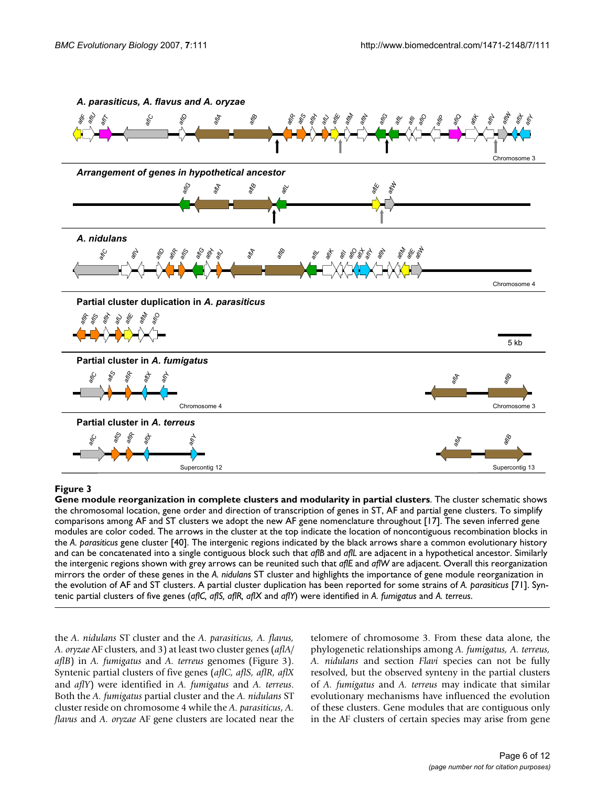

## Gene module reorganization in complete cl **Figure 3** usters and modularity in partial clusters

**Gene module reorganization in complete clusters and modularity in partial clusters**. The cluster schematic shows the chromosomal location, gene order and direction of transcription of genes in ST, AF and partial gene clusters. To simplify comparisons among AF and ST clusters we adopt the new AF gene nomenclature throughout [17]. The seven inferred gene modules are color coded. The arrows in the cluster at the top indicate the location of noncontiguous recombination blocks in the *A. parasiticus* gene cluster [40]. The intergenic regions indicated by the black arrows share a common evolutionary history and can be concatenated into a single contiguous block such that *aflB* and *aflL* are adjacent in a hypothetical ancestor. Similarly the intergenic regions shown with grey arrows can be reunited such that *aflE* and *aflW* are adjacent. Overall this reorganization mirrors the order of these genes in the *A. nidulans* ST cluster and highlights the importance of gene module reorganization in the evolution of AF and ST clusters. A partial cluster duplication has been reported for some strains of *A. parasiticus* [71]. Syntenic partial clusters of five genes (*aflC, aflS, aflR, aflX* and *aflY*) were identified in *A. fumigatus* and *A. terreus*.

the *A. nidulans* ST cluster and the *A. parasiticus, A. flavus, A. oryzae* AF clusters, and 3) at least two cluster genes (*aflA/ aflB*) in *A. fumigatus* and *A. terreus* genomes (Figure 3). Syntenic partial clusters of five genes (*aflC, aflS, aflR, aflX* and *aflY*) were identified in *A. fumigatus* and *A. terreus*. Both the *A. fumigatus* partial cluster and the *A. nidulans* ST cluster reside on chromosome 4 while the *A. parasiticus*, *A. flavus* and *A. oryzae* AF gene clusters are located near the telomere of chromosome 3. From these data alone, the phylogenetic relationships among *A. fumigatus, A. terreus, A. nidulans* and section *Flavi* species can not be fully resolved, but the observed synteny in the partial clusters of *A. fumigatus* and *A. terreus* may indicate that similar evolutionary mechanisms have influenced the evolution of these clusters. Gene modules that are contiguous only in the AF clusters of certain species may arise from gene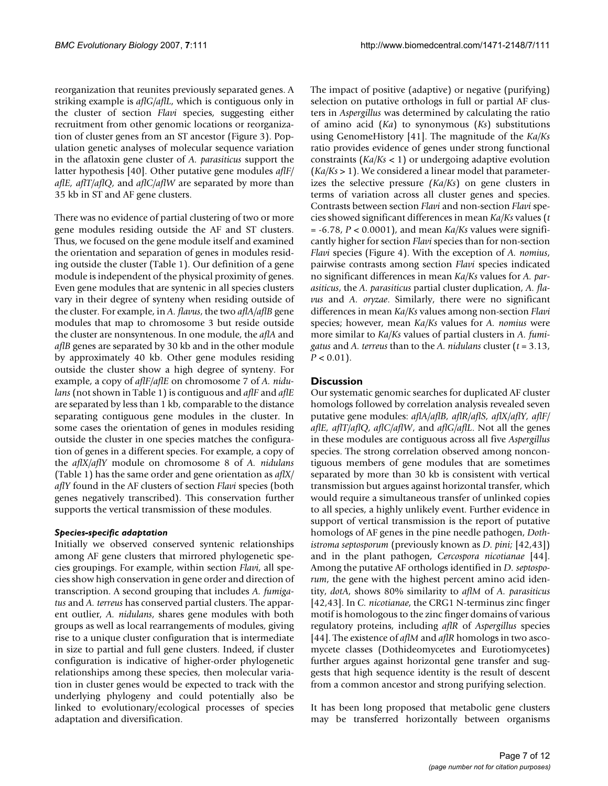reorganization that reunites previously separated genes. A striking example is *aflG/aflL*, which is contiguous only in the cluster of section *Flavi* species, suggesting either recruitment from other genomic locations or reorganization of cluster genes from an ST ancestor (Figure 3). Population genetic analyses of molecular sequence variation in the aflatoxin gene cluster of *A. parasiticus* support the latter hypothesis [40]. Other putative gene modules *aflF/ aflE, aflT/aflQ*, and *aflC/aflW* are separated by more than 35 kb in ST and AF gene clusters.

There was no evidence of partial clustering of two or more gene modules residing outside the AF and ST clusters. Thus, we focused on the gene module itself and examined the orientation and separation of genes in modules residing outside the cluster (Table 1). Our definition of a gene module is independent of the physical proximity of genes. Even gene modules that are syntenic in all species clusters vary in their degree of synteny when residing outside of the cluster. For example, in *A. flavus*, the two *aflA/aflB* gene modules that map to chromosome 3 but reside outside the cluster are nonsyntenous. In one module, the *aflA* and *aflB* genes are separated by 30 kb and in the other module by approximately 40 kb. Other gene modules residing outside the cluster show a high degree of synteny. For example, a copy of *aflF/aflE* on chromosome 7 of *A. nidulans* (not shown in Table 1) is contiguous and *aflF* and *aflE* are separated by less than 1 kb, comparable to the distance separating contiguous gene modules in the cluster. In some cases the orientation of genes in modules residing outside the cluster in one species matches the configuration of genes in a different species. For example, a copy of the *aflX/aflY* module on chromosome 8 of *A. nidulans* (Table 1) has the same order and gene orientation as *aflX/ aflY* found in the AF clusters of section *Flavi* species (both genes negatively transcribed). This conservation further supports the vertical transmission of these modules.

#### *Species-specific adaptation*

Initially we observed conserved syntenic relationships among AF gene clusters that mirrored phylogenetic species groupings. For example, within section *Flavi*, all species show high conservation in gene order and direction of transcription. A second grouping that includes *A. fumigatus* and *A. terreus* has conserved partial clusters. The apparent outlier, *A. nidulans*, shares gene modules with both groups as well as local rearrangements of modules, giving rise to a unique cluster configuration that is intermediate in size to partial and full gene clusters. Indeed, if cluster configuration is indicative of higher-order phylogenetic relationships among these species, then molecular variation in cluster genes would be expected to track with the underlying phylogeny and could potentially also be linked to evolutionary/ecological processes of species adaptation and diversification.

The impact of positive (adaptive) or negative (purifying) selection on putative orthologs in full or partial AF clusters in *Aspergillus* was determined by calculating the ratio of amino acid (*Ka*) to synonymous (*Ks*) substitutions using GenomeHistory [41]. The magnitude of the *Ka/Ks* ratio provides evidence of genes under strong functional constraints (*Ka/Ks* < 1) or undergoing adaptive evolution (*Ka/Ks* > 1). We considered a linear model that parameterizes the selective pressure *(Ka/Ks*) on gene clusters in terms of variation across all cluster genes and species. Contrasts between section *Flavi* and non-section *Flavi* species showed significant differences in mean *Ka/Ks* values (*t* = -6.78, *P* < 0.0001), and mean *Ka/Ks* values were significantly higher for section *Flavi* species than for non-section *Flavi* species (Figure 4). With the exception of *A. nomius*, pairwise contrasts among section *Flavi* species indicated no significant differences in mean *Ka/Ks* values for *A. parasiticus*, the *A. parasiticus* partial cluster duplication, *A. flavus* and *A. oryzae*. Similarly, there were no significant differences in mean *Ka/Ks* values among non-section *Flavi* species; however, mean *Ka/Ks* values for *A. nomius* were more similar to *Ka/Ks* values of partial clusters in *A. fumigatus* and *A. terreus* than to the *A. nidulans* cluster (*t* = 3.13,  $P < 0.01$ ).

### **Discussion**

Our systematic genomic searches for duplicated AF cluster homologs followed by correlation analysis revealed seven putative gene modules: *aflA/aflB, aflR/aflS, aflX/aflY, aflF/ aflE, aflT/aflQ*, *aflC/aflW*, and *aflG/aflL*. Not all the genes in these modules are contiguous across all five *Aspergillus* species. The strong correlation observed among noncontiguous members of gene modules that are sometimes separated by more than 30 kb is consistent with vertical transmission but argues against horizontal transfer, which would require a simultaneous transfer of unlinked copies to all species, a highly unlikely event. Further evidence in support of vertical transmission is the report of putative homologs of AF genes in the pine needle pathogen, *Dothistroma septosporum* (previously known as *D. pini;* [42,43]) and in the plant pathogen, *Cercospora nicotianae* [44]. Among the putative AF orthologs identified in *D. septosporum*, the gene with the highest percent amino acid identity, *dotA*, shows 80% similarity to *aflM* of *A. parasiticus* [42,43]. In *C. nicotianae*, the CRG1 N-terminus zinc finger motif is homologous to the zinc finger domains of various regulatory proteins, including *aflR* of *Aspergillus* species [44]. The existence of *aflM* and *aflR* homologs in two ascomycete classes (Dothideomycetes and Eurotiomycetes) further argues against horizontal gene transfer and suggests that high sequence identity is the result of descent from a common ancestor and strong purifying selection.

It has been long proposed that metabolic gene clusters may be transferred horizontally between organisms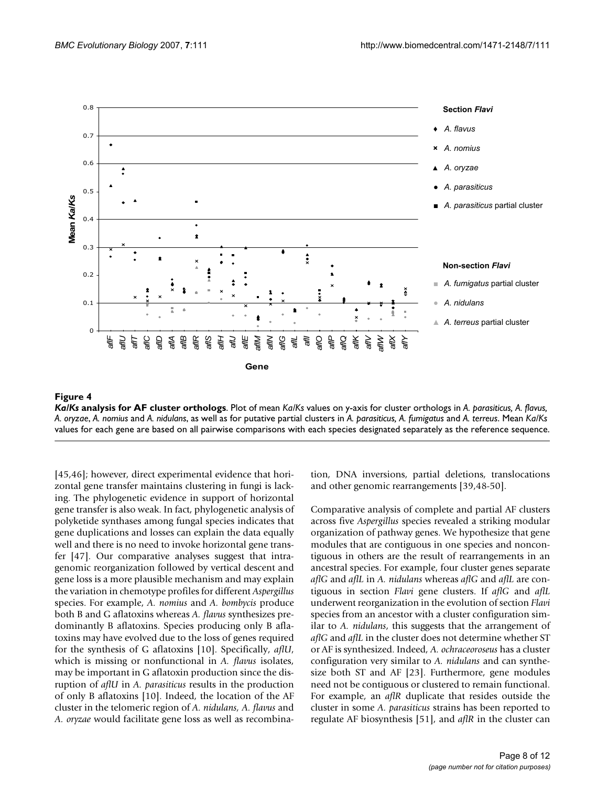

*Ka/Ks* **analysis for AF cluster orthologs**. Plot of mean *Ka/Ks* values on y-axis for cluster orthologs in *A. parasiticus, A. flavus, A. oryzae*, *A. nomius* and *A. nidulans*, as well as for putative partial clusters in *A. parasiticus, A. fumigatus* and *A. terreus*. Mean *Ka/Ks* 

[45,46]; however, direct experimental evidence that horizontal gene transfer maintains clustering in fungi is lacking. The phylogenetic evidence in support of horizontal gene transfer is also weak. In fact, phylogenetic analysis of polyketide synthases among fungal species indicates that gene duplications and losses can explain the data equally well and there is no need to invoke horizontal gene transfer [47]. Our comparative analyses suggest that intragenomic reorganization followed by vertical descent and gene loss is a more plausible mechanism and may explain the variation in chemotype profiles for different *Aspergillus* species. For example, *A. nomius* and *A. bombycis* produce both B and G aflatoxins whereas *A. flavus* synthesizes predominantly B aflatoxins. Species producing only B aflatoxins may have evolved due to the loss of genes required for the synthesis of G aflatoxins [10]. Specifically, *aflU*, which is missing or nonfunctional in *A. flavus* isolates, may be important in G aflatoxin production since the disruption of *aflU* in *A. parasiticus* results in the production of only B aflatoxins [10]. Indeed, the location of the AF cluster in the telomeric region of *A. nidulans, A. flavus* and *A. oryzae* would facilitate gene loss as well as recombination, DNA inversions, partial deletions, translocations and other genomic rearrangements [39,48-50].

Comparative analysis of complete and partial AF clusters across five *Aspergillus* species revealed a striking modular organization of pathway genes. We hypothesize that gene modules that are contiguous in one species and noncontiguous in others are the result of rearrangements in an ancestral species. For example, four cluster genes separate *aflG* and *aflL* in *A. nidulans* whereas *aflG* and *aflL* are contiguous in section *Flavi* gene clusters. If *aflG* and *aflL* underwent reorganization in the evolution of section *Flavi* species from an ancestor with a cluster configuration similar to *A. nidulans*, this suggests that the arrangement of *aflG* and *aflL* in the cluster does not determine whether ST or AF is synthesized. Indeed, *A. ochraceoroseus* has a cluster configuration very similar to *A. nidulans* and can synthesize both ST and AF [23]. Furthermore, gene modules need not be contiguous or clustered to remain functional. For example, an *aflR* duplicate that resides outside the cluster in some *A. parasiticus* strains has been reported to regulate AF biosynthesis [51], and *aflR* in the cluster can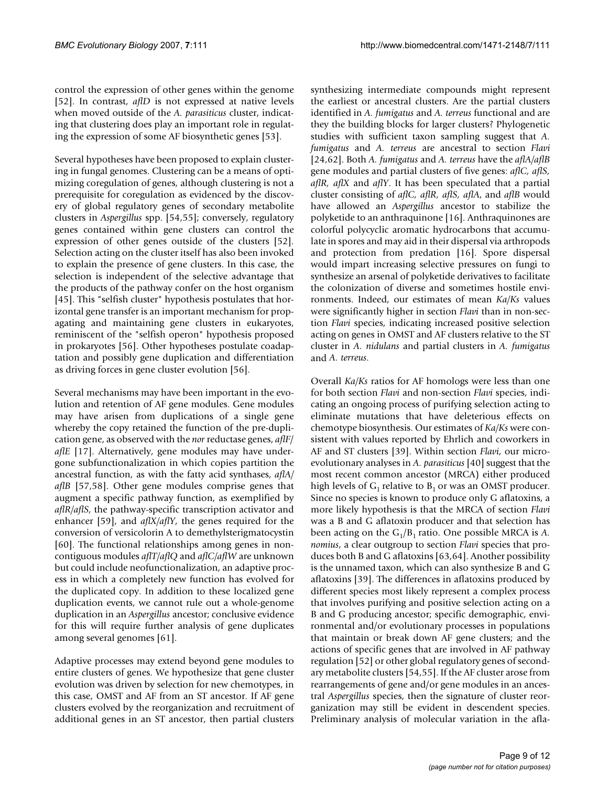control the expression of other genes within the genome [52]. In contrast, *aflD* is not expressed at native levels when moved outside of the *A. parasiticus* cluster, indicating that clustering does play an important role in regulating the expression of some AF biosynthetic genes [53].

Several hypotheses have been proposed to explain clustering in fungal genomes. Clustering can be a means of optimizing coregulation of genes, although clustering is not a prerequisite for coregulation as evidenced by the discovery of global regulatory genes of secondary metabolite clusters in *Aspergillus* spp. [54,55]; conversely, regulatory genes contained within gene clusters can control the expression of other genes outside of the clusters [52]. Selection acting on the cluster itself has also been invoked to explain the presence of gene clusters. In this case, the selection is independent of the selective advantage that the products of the pathway confer on the host organism [45]. This "selfish cluster" hypothesis postulates that horizontal gene transfer is an important mechanism for propagating and maintaining gene clusters in eukaryotes, reminiscent of the "selfish operon" hypothesis proposed in prokaryotes [56]. Other hypotheses postulate coadaptation and possibly gene duplication and differentiation as driving forces in gene cluster evolution [56].

Several mechanisms may have been important in the evolution and retention of AF gene modules. Gene modules may have arisen from duplications of a single gene whereby the copy retained the function of the pre-duplication gene, as observed with the *nor* reductase genes, *aflF*/ *aflE* [17]. Alternatively, gene modules may have undergone subfunctionalization in which copies partition the ancestral function, as with the fatty acid synthases, *aflA/ aflB* [57,58]. Other gene modules comprise genes that augment a specific pathway function, as exemplified by *aflR/aflS*, the pathway-specific transcription activator and enhancer [59], and *aflX/aflY*, the genes required for the conversion of versicolorin A to demethylsterigmatocystin [60]. The functional relationships among genes in noncontiguous modules *aflT/aflQ* and *aflC/aflW* are unknown but could include neofunctionalization, an adaptive process in which a completely new function has evolved for the duplicated copy. In addition to these localized gene duplication events, we cannot rule out a whole-genome duplication in an *Aspergillus* ancestor; conclusive evidence for this will require further analysis of gene duplicates among several genomes [61].

Adaptive processes may extend beyond gene modules to entire clusters of genes. We hypothesize that gene cluster evolution was driven by selection for new chemotypes, in this case, OMST and AF from an ST ancestor. If AF gene clusters evolved by the reorganization and recruitment of additional genes in an ST ancestor, then partial clusters

synthesizing intermediate compounds might represent the earliest or ancestral clusters. Are the partial clusters identified in *A. fumigatus* and *A. terreus* functional and are they the building blocks for larger clusters? Phylogenetic studies with sufficient taxon sampling suggest that *A. fumigatus* and *A. terreus* are ancestral to section *Flavi* [24,62]. Both *A. fumigatus* and *A. terreus* have the *aflA/aflB* gene modules and partial clusters of five genes: *aflC, aflS, aflR, aflX* and *aflY*. It has been speculated that a partial cluster consisting of *aflC, aflR, aflS, aflA*, and *aflB* would have allowed an *Aspergillus* ancestor to stabilize the polyketide to an anthraquinone [16]. Anthraquinones are colorful polycyclic aromatic hydrocarbons that accumulate in spores and may aid in their dispersal via arthropods and protection from predation [16]. Spore dispersal would impart increasing selective pressures on fungi to synthesize an arsenal of polyketide derivatives to facilitate the colonization of diverse and sometimes hostile environments. Indeed, our estimates of mean *Ka/Ks* values were significantly higher in section *Flavi* than in non-section *Flavi* species, indicating increased positive selection acting on genes in OMST and AF clusters relative to the ST cluster in *A. nidulans* and partial clusters in *A. fumigatus* and *A. terreus*.

Overall *Ka/Ks* ratios for AF homologs were less than one for both section *Flavi* and non-section *Flavi* species, indicating an ongoing process of purifying selection acting to eliminate mutations that have deleterious effects on chemotype biosynthesis. Our estimates of *Ka/Ks* were consistent with values reported by Ehrlich and coworkers in AF and ST clusters [39]. Within section *Flavi*, our microevolutionary analyses in *A. parasiticus* [40] suggest that the most recent common ancestor (MRCA) either produced high levels of  $G_1$  relative to  $B_1$  or was an OMST producer. Since no species is known to produce only G aflatoxins, a more likely hypothesis is that the MRCA of section *Flavi* was a B and G aflatoxin producer and that selection has been acting on the  $G_1/B_1$  ratio. One possible MRCA is A. *nomius*, a clear outgroup to section *Flavi* species that produces both B and G aflatoxins [63,64]. Another possibility is the unnamed taxon, which can also synthesize B and G aflatoxins [39]. The differences in aflatoxins produced by different species most likely represent a complex process that involves purifying and positive selection acting on a B and G producing ancestor; specific demographic, environmental and/or evolutionary processes in populations that maintain or break down AF gene clusters; and the actions of specific genes that are involved in AF pathway regulation [52] or other global regulatory genes of secondary metabolite clusters [54,55]. If the AF cluster arose from rearrangements of gene and/or gene modules in an ancestral *Aspergillus* species, then the signature of cluster reorganization may still be evident in descendent species. Preliminary analysis of molecular variation in the afla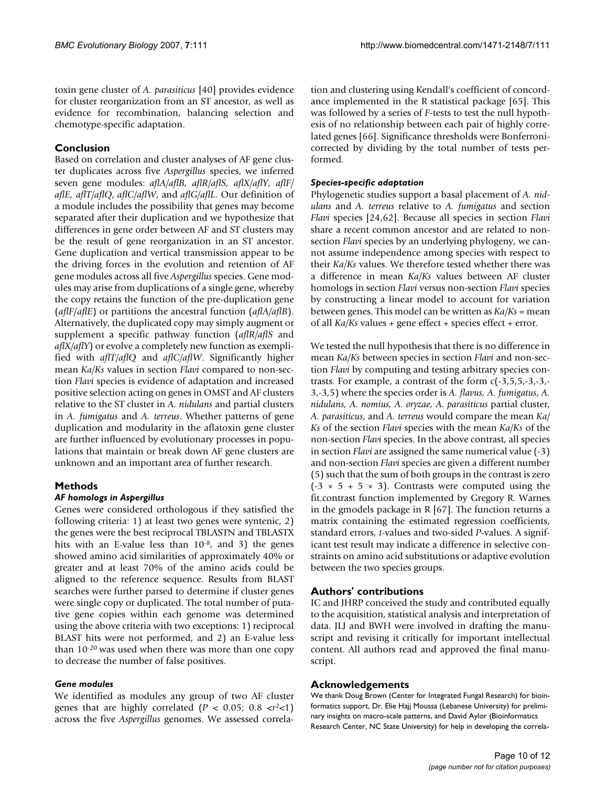toxin gene cluster of *A. parasiticus* [40] provides evidence for cluster reorganization from an ST ancestor, as well as evidence for recombination, balancing selection and chemotype-specific adaptation.

## **Conclusion**

Based on correlation and cluster analyses of AF gene cluster duplicates across five *Aspergillus* species, we inferred seven gene modules: *aflA/aflB, aflR/aflS, aflX/aflY, aflF/ aflE, aflT/aflQ*, *aflC/aflW*, and *aflG/aflL*. Our definition of a module includes the possibility that genes may become separated after their duplication and we hypothesize that differences in gene order between AF and ST clusters may be the result of gene reorganization in an ST ancestor. Gene duplication and vertical transmission appear to be the driving forces in the evolution and retention of AF gene modules across all five *Aspergillus* species. Gene modules may arise from duplications of a single gene, whereby the copy retains the function of the pre-duplication gene (*aflF*/*aflE*) or partitions the ancestral function (*aflA/aflB*). Alternatively, the duplicated copy may simply augment or supplement a specific pathway function (*aflR/aflS* and *aflX/aflY*) or evolve a completely new function as exemplified with *aflT/aflQ* and *aflC/aflW*. Significantly higher mean *Ka/Ks* values in section *Flavi* compared to non-section *Flavi* species is evidence of adaptation and increased positive selection acting on genes in OMST and AF clusters relative to the ST cluster in *A. nidulans* and partial clusters in *A. fumigatus* and *A. terreus*. Whether patterns of gene duplication and modularity in the aflatoxin gene cluster are further influenced by evolutionary processes in populations that maintain or break down AF gene clusters are unknown and an important area of further research.

## **Methods**

## *AF homologs in Aspergillus*

Genes were considered orthologous if they satisfied the following criteria: 1) at least two genes were syntenic, 2) the genes were the best reciprocal TBLASTN and TBLASTX hits with an E-value less than  $10^{-8}$ , and 3) the genes showed amino acid similarities of approximately 40% or greater and at least 70% of the amino acids could be aligned to the reference sequence. Results from BLAST searches were further parsed to determine if cluster genes were single copy or duplicated. The total number of putative gene copies within each genome was determined using the above criteria with two exceptions: 1) reciprocal BLAST hits were not performed, and 2) an E-value less than 10-20 was used when there was more than one copy to decrease the number of false positives.

### *Gene modules*

We identified as modules any group of two AF cluster genes that are highly correlated  $(P < 0.05; 0.8 < r^2 < 1)$ across the five *Aspergillus* genomes. We assessed correlation and clustering using Kendall's coefficient of concordance implemented in the R statistical package [65]. This was followed by a series of *F-*tests to test the null hypothesis of no relationship between each pair of highly correlated genes [66]. Significance thresholds were Bonferronicorrected by dividing by the total number of tests performed.

## *Species-specific adaptation*

Phylogenetic studies support a basal placement of *A. nidulans* and *A. terreus* relative to *A. fumigatus* and section *Flavi* species [24,62]. Because all species in section *Flavi* share a recent common ancestor and are related to nonsection *Flavi* species by an underlying phylogeny, we cannot assume independence among species with respect to their *Ka/Ks* values. We therefore tested whether there was a difference in mean *Ka/Ks* values between AF cluster homologs in section *Flavi* versus non-section *Flavi* species by constructing a linear model to account for variation between genes. This model can be written as *Ka/Ks* = mean of all *Ka/Ks* values + gene effect + species effect + error.

We tested the null hypothesis that there is no difference in mean *Ka/Ks* between species in section *Flavi* and non-section *Flavi* by computing and testing arbitrary species contrasts. For example, a contrast of the form c(-3,5,5,-3,-3,- 3,-3,5) where the species order is *A. flavus, A. fumigatus*, *A. nidulans, A. nomius, A. oryzae, A. parasiticus* partial cluster, *A. parasiticus*, and *A. terreus* would compare the mean *Ka/ Ks* of the section *Flavi* species with the mean *Ka/Ks* of the non-section *Flavi* species. In the above contrast, all species in section *Flavi* are assigned the same numerical value (-3) and non-section *Flavi* species are given a different number (5) such that the sum of both groups in the contrast is zero  $(-3 \times 5 + 5 \times 3)$ . Contrasts were computed using the fit.contrast function implemented by Gregory R. Warnes in the gmodels package in R [67]. The function returns a matrix containing the estimated regression coefficients, standard errors, *t*-values and two-sided *P*-values. A significant test result may indicate a difference in selective constraints on amino acid substitutions or adaptive evolution between the two species groups.

## **Authors' contributions**

IC and JHRP conceived the study and contributed equally to the acquisition, statistical analysis and interpretation of data. JLJ and BWH were involved in drafting the manuscript and revising it critically for important intellectual content. All authors read and approved the final manuscript.

## **Acknowledgements**

We thank Doug Brown (Center for Integrated Fungal Research) for bioinformatics support, Dr. Elie Hajj Moussa (Lebanese University) for preliminary insights on macro-scale patterns, and David Aylor (Bioinformatics Research Center, NC State University) for help in developing the correla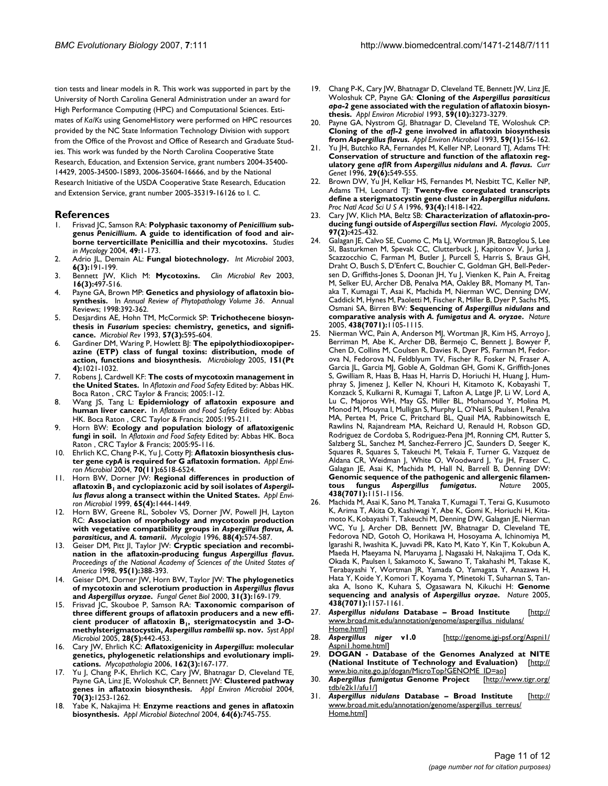tion tests and linear models in R. This work was supported in part by the University of North Carolina General Administration under an award for High Performance Computing (HPC) and Computational Sciences. Estimates of *Ka/Ks* using GenomeHistory were performed on HPC resources provided by the NC State Information Technology Division with support from the Office of the Provost and Office of Research and Graduate Studies. This work was funded by the North Carolina Cooperative State Research, Education, and Extension Service, grant numbers 2004-35400- 14429, 2005-34500-15893, 2006-35604-16666, and by the National Research Initiative of the USDA Cooperative State Research, Education and Extension Service, grant number 2005-35319-16126 to I. C.

#### **References**

- 1. Frisvad JC, Samson RA: **Polyphasic taxonomy of** *Penicillium* **subgenus** *Penicillium***. A guide to identification of food and airborne terverticillate Penicillia and their mycotoxins.** *Studies in Mycology* 2004, **49:**1-173.
- 2. Adrio JL, Demain AL: **[Fungal biotechnology.](http://www.ncbi.nlm.nih.gov/entrez/query.fcgi?cmd=Retrieve&db=PubMed&dopt=Abstract&list_uids=12898399)** *Int Microbiol* 2003, **6(3):**191-199.
- 3. Bennett JW, Klich M: **[Mycotoxins.](http://www.ncbi.nlm.nih.gov/entrez/query.fcgi?cmd=Retrieve&db=PubMed&dopt=Abstract&list_uids=12857779)** *Clin Microbiol Rev* 2003, **16(3):**497-516.
- 4. Payne GA, Brown MP: **Genetics and physiology of aflatoxin biosynthesis.** In *Annual Review of Phytopathology Volume 36*. Annual Reviews; 1998:392-362.
- 5. Desjardins AE, Hohn TM, McCormick SP: **Trichothecene biosynthesis in** *Fusarium* **[species: chemistry, genetics, and signifi](http://www.ncbi.nlm.nih.gov/entrez/query.fcgi?cmd=Retrieve&db=PubMed&dopt=Abstract&list_uids=8246841)[cance.](http://www.ncbi.nlm.nih.gov/entrez/query.fcgi?cmd=Retrieve&db=PubMed&dopt=Abstract&list_uids=8246841)** *Microbiol Rev* 1993, **57(3):**595-604.
- 6. Gardiner DM, Waring P, Howlett BJ: **[The epipolythiodioxopiper](http://www.ncbi.nlm.nih.gov/entrez/query.fcgi?cmd=Retrieve&db=PubMed&dopt=Abstract&list_uids=15817772)[azine \(ETP\) class of fungal toxins: distribution, mode of](http://www.ncbi.nlm.nih.gov/entrez/query.fcgi?cmd=Retrieve&db=PubMed&dopt=Abstract&list_uids=15817772) [action, functions and biosynthesis.](http://www.ncbi.nlm.nih.gov/entrez/query.fcgi?cmd=Retrieve&db=PubMed&dopt=Abstract&list_uids=15817772)** *Microbiology* 2005, **151(Pt 4):**1021-1032.
- 7. Robens J, Cardwell KF: **The costs of mycotoxin management in the United States.** In *Aflatoxin and Food Safety* Edited by: Abbas HK. Boca Raton , CRC Taylor & Francis; 2005:1-12.
- 8. Wang JS, Tang L: **Epidemiology of aflatoxin exposure and human liver cancer.** In *Aflatoxin and Food Safety* Edited by: Abbas HK. Boca Raton , CRC Taylor & Francis; 2005:195-211.
- 9. Horn BW: **Ecology and population biology of aflatoxigenic fungi in soil.** In *Aflatoxin and Food Safety* Edited by: Abbas HK. Boca Raton , CRC Taylor & Francis; 2005:95-116.
- 10. Ehrlich KC, Chang P-K, Yu J, Cotty PJ: **Aflatoxin biosynthesis cluster gene** *cypA* **[is required for G aflatoxin formation.](http://www.ncbi.nlm.nih.gov/entrez/query.fcgi?cmd=Retrieve&db=PubMed&dopt=Abstract&list_uids=15528514)** *Appl Environ Microbiol* 2004, **70(11):**6518-6524.
- 11. Horn BW, Dorner JW: **Regional differences in production of** aflatoxin B<sub>1</sub> and cyclopiazonic acid by soil isolates of Aspergil*lus flavus* **[along a transect within the United States.](http://www.ncbi.nlm.nih.gov/entrez/query.fcgi?cmd=Retrieve&db=PubMed&dopt=Abstract&list_uids=10103234)** *Appl Environ Microbiol* 1999, **65(4):**1444-1449.
- 12. Horn BW, Greene RL, Sobolev VS, Dorner JW, Powell JH, Layton RC: **Association of morphology and mycotoxin production with vegetative compatibility groups in** *Aspergillus flavus***,** *A. parasiticus***, and** *A. tamarii***.** *Mycologia* 1996, **88(4):**574-587.
- 13. Geiser DM, Pitt JI, Taylor JW: **Cryptic speciation and recombination in the aflatoxin-producing fungus** *Aspergillus flavus***[.](http://www.ncbi.nlm.nih.gov/entrez/query.fcgi?cmd=Retrieve&db=PubMed&dopt=Abstract&list_uids=9419385)** *Proceedings of the National Academy of Sciences of the United States of America* 1998, **95(1):**388-393.
- 14. Geiser DM, Dorner JW, Horn BW, Taylor JW: **The phylogenetics of mycotoxin and sclerotium production in** *Aspergillus flavus* **and** *Aspergillus oryzae***[.](http://www.ncbi.nlm.nih.gov/entrez/query.fcgi?cmd=Retrieve&db=PubMed&dopt=Abstract&list_uids=11273679)** *Fungal Genet Biol* 2000, **31(3):**169-179.
- 15. Frisvad JC, Skouboe P, Samson RA: **Taxonomic comparison of three different groups of aflatoxin producers and a new effi**cient producer of aflatoxin **B**<sub>1</sub>, sterigmatocystin and 3-O**methylsterigmatocystin,** *Aspergillus rambellii* **[sp. nov.](http://www.ncbi.nlm.nih.gov/entrez/query.fcgi?cmd=Retrieve&db=PubMed&dopt=Abstract&list_uids=16094871)** *Syst Appl Microbiol* 2005, **28(5):**442-453.
- 16. Cary JW, Ehrlich KC: **Aflatoxigenicity in** *Aspergillus***[: molecular](http://www.ncbi.nlm.nih.gov/entrez/query.fcgi?cmd=Retrieve&db=PubMed&dopt=Abstract&list_uids=16944284) [genetics, phylogenetic relationships and evolutionary impli](http://www.ncbi.nlm.nih.gov/entrez/query.fcgi?cmd=Retrieve&db=PubMed&dopt=Abstract&list_uids=16944284)[cations.](http://www.ncbi.nlm.nih.gov/entrez/query.fcgi?cmd=Retrieve&db=PubMed&dopt=Abstract&list_uids=16944284)** *Mycopathologia* 2006, **162(3):**167-177.
- 17. Yu J, Chang P-K, Ehrlich KC, Cary JW, Bhatnagar D, Cleveland TE, Payne GA, Linz JE, Woloshuk CP, Bennett JW: **[Clustered pathway](http://www.ncbi.nlm.nih.gov/entrez/query.fcgi?cmd=Retrieve&db=PubMed&dopt=Abstract&list_uids=15006741) [genes in aflatoxin biosynthesis.](http://www.ncbi.nlm.nih.gov/entrez/query.fcgi?cmd=Retrieve&db=PubMed&dopt=Abstract&list_uids=15006741)** *Appl Environ Microbiol* 2004, **70(3):**1253-1262.
- 18. Yabe K, Nakajima H: **[Enzyme reactions and genes in aflatoxin](http://www.ncbi.nlm.nih.gov/entrez/query.fcgi?cmd=Retrieve&db=PubMed&dopt=Abstract&list_uids=15022028) [biosynthesis.](http://www.ncbi.nlm.nih.gov/entrez/query.fcgi?cmd=Retrieve&db=PubMed&dopt=Abstract&list_uids=15022028)** *Appl Microbiol Biotechnol* 2004, **64(6):**745-755.
- 19. Chang P-K, Cary JW, Bhatnagar D, Cleveland TE, Bennett JW, Linz JE, Woloshuk CP, Payne GA: **Cloning of the** *Aspergillus parasiticus apa-2* **[gene associated with the regulation of aflatoxin biosyn](http://www.ncbi.nlm.nih.gov/entrez/query.fcgi?cmd=Retrieve&db=PubMed&dopt=Abstract&list_uids=8250554)[thesis.](http://www.ncbi.nlm.nih.gov/entrez/query.fcgi?cmd=Retrieve&db=PubMed&dopt=Abstract&list_uids=8250554)** *Appl Environ Microbiol* 1993, **59(10):**3273-3279.
- 20. Payne GA, Nystrom GJ, Bhatnagar D, Cleveland TE, Woloshuk CP: **Cloning of the** *afl-2* **gene involved in aflatoxin biosynthesis from** *Aspergillus flavus***[.](http://www.ncbi.nlm.nih.gov/entrez/query.fcgi?cmd=Retrieve&db=PubMed&dopt=Abstract&list_uids=8439147)** *Appl Environ Microbiol* 1993, **59(1):**156-162.
- 21. Yu JH, Butchko RA, Fernandes M, Keller NP, Leonard TJ, Adams TH: **Conservation of structure and function of the aflatoxin regulatory gene** *aflR* **from** *Aspergillus nidulans* **and** *A. flavus***[.](http://www.ncbi.nlm.nih.gov/entrez/query.fcgi?cmd=Retrieve&db=PubMed&dopt=Abstract&list_uids=8662194)** *Curr Genet* 1996, **29(6):**549-555.
- Brown DW, Yu JH, Kelkar HS, Fernandes M, Nesbitt TC, Keller NP, Adams TH, Leonard TJ: **Twenty-five coregulated transcripts define a sterigmatocystin gene cluster in** *Aspergillus nidulans***[.](http://www.ncbi.nlm.nih.gov/entrez/query.fcgi?cmd=Retrieve&db=PubMed&dopt=Abstract&list_uids=8643646)** *Proc Natl Acad Sci U S A* 1996, **93(4):**1418-1422.
- Cary JW, Klich MA, Beltz SB: Characterization of aflatoxin-pro**ducing fungi outside of** *Aspergillus* **section** *Flavi***[.](http://www.ncbi.nlm.nih.gov/entrez/query.fcgi?cmd=Retrieve&db=PubMed&dopt=Abstract&list_uids=16396350)** *Mycologia* 2005, **97(2):**425-432.
- 24. Galagan JE, Calvo SE, Cuomo C, Ma LJ, Wortman JR, Batzoglou S, Lee SI, Basturkmen M, Spevak CC, Clutterbuck J, Kapitonov V, Jurka J, Scazzocchio C, Farman M, Butler J, Purcell S, Harris S, Braus GH, Draht O, Busch S, D'Enfert C, Bouchier C, Goldman GH, Bell-Pedersen D, Griffiths-Jones S, Doonan JH, Yu J, Vienken K, Pain A, Freitag M, Selker EU, Archer DB, Penalva MA, Oakley BR, Momany M, Tanaka T, Kumagai T, Asai K, Machida M, Nierman WC, Denning DW, Caddick M, Hynes M, Paoletti M, Fischer R, Miller B, Dyer P, Sachs MS, Osmani SA, Birren BW: **Sequencing of** *Aspergillus nidulans* **and comparative analysis with** *A. fumigatus* **and** *A. oryzae***[.](http://www.ncbi.nlm.nih.gov/entrez/query.fcgi?cmd=Retrieve&db=PubMed&dopt=Abstract&list_uids=16372000)** *Nature* 2005, **438(7071):**1105-1115.
- 25. Nierman WC, Pain A, Anderson MJ, Wortman JR, Kim HS, Arroyo J, Berriman M, Abe K, Archer DB, Bermejo C, Bennett J, Bowyer P, Chen D, Collins M, Coulsen R, Davies R, Dyer PS, Farman M, Fedorova N, Fedorova N, Feldblyum TV, Fischer R, Fosker N, Fraser A, Garcia JL, Garcia MJ, Goble A, Goldman GH, Gomi K, Griffith-Jones S, Gwilliam R, Haas B, Haas H, Harris D, Horiuchi H, Huang J, Humphray S, Jimenez J, Keller N, Khouri H, Kitamoto K, Kobayashi T, Konzack S, Kulkarni R, Kumagai T, Lafton A, Latge JP, Li W, Lord A, Lu C, Majoros WH, May GS, Miller BL, Mohamoud Y, Molina M, Monod M, Mouyna I, Mulligan S, Murphy L, O'Neil S, Paulsen I, Penalva MA, Pertea M, Price C, Pritchard BL, Quail MA, Rabbinowitsch E, Rawlins N, Rajandream MA, Reichard U, Renauld H, Robson GD, Rodriguez de Cordoba S, Rodriguez-Pena JM, Ronning CM, Rutter S, Salzberg SL, Sanchez M, Sanchez-Ferrero JC, Saunders D, Seeger K, Squares R, Squares S, Takeuchi M, Tekaia F, Turner G, Vazquez de Aldana CR, Weidman J, White O, Woodward J, Yu JH, Fraser C, Galagan JE, Asai K, Machida M, Hall N, Barrell B, Denning DW: **Genomic sequence of the pathogenic and allergenic filamentous fungus** *Aspergillus fumigatus***[.](http://www.ncbi.nlm.nih.gov/entrez/query.fcgi?cmd=Retrieve&db=PubMed&dopt=Abstract&list_uids=16372009)** *Nature* 2005, **438(7071):**1151-1156.
- 26. Machida M, Asai K, Sano M, Tanaka T, Kumagai T, Terai G, Kusumoto K, Arima T, Akita O, Kashiwagi Y, Abe K, Gomi K, Horiuchi H, Kitamoto K, Kobayashi T, Takeuchi M, Denning DW, Galagan JE, Nierman WC, Yu J, Archer DB, Bennett JW, Bhatnagar D, Cleveland TE, Fedorova ND, Gotoh O, Horikawa H, Hosoyama A, Ichinomiya M, Igarashi R, Iwashita K, Juvvadi PR, Kato M, Kato Y, Kin T, Kokubun A, Maeda H, Maeyama N, Maruyama J, Nagasaki H, Nakajima T, Oda K, Okada K, Paulsen I, Sakamoto K, Sawano T, Takahashi M, Takase K, Terabayashi Y, Wortman JR, Yamada O, Yamagata Y, Anazawa H, Hata Y, Koide Y, Komori T, Koyama Y, Minetoki T, Suharnan S, Tanaka A, Isono K, Kuhara S, Ogasawara N, Kikuchi H: **Genome sequencing and analysis of** *Aspergillus oryzae***[.](http://www.ncbi.nlm.nih.gov/entrez/query.fcgi?cmd=Retrieve&db=PubMed&dopt=Abstract&list_uids=16372010)** *Nature* 2005, **438(7071):**1157-1161.
- 27. *Aspergillus nidulans* **Database Broad Institute** [\[http://](http://www.broad.mit.edu/annotation/genome/aspergillus_nidulans/Home.html) [www.broad.mit.edu/annotation/genome/aspergillus\\_nidulans/](http://www.broad.mit.edu/annotation/genome/aspergillus_nidulans/Home.html) [Home.html\]](http://www.broad.mit.edu/annotation/genome/aspergillus_nidulans/Home.html)
- 28. *Aspergillus niger* **v1.0** [\[http://genome.jgi-psf.org/Aspni1/](http://genome.jgi-psf.org/Aspni1/Aspni1.home.html) [Aspni1.home.html\]](http://genome.jgi-psf.org/Aspni1/Aspni1.home.html)
- 29. **DOGAN Database of the Genomes Analyzed at NITE (National Institute of Technology and Evaluation)** [\[http://](http://www.bio.nite.go.jp/dogan/MicroTop?GENOME_ID=ao) [www.bio.nite.go.jp/dogan/MicroTop?GENOME\\_ID=ao\]](http://www.bio.nite.go.jp/dogan/MicroTop?GENOME_ID=ao)
- 30. *Aspergillus fumigatus* **Genome Project** [\[http://www.tigr.org/](http://www.tigr.org/tdb/e2k1/afu1/) [tdb/e2k1/afu1/\]](http://www.tigr.org/tdb/e2k1/afu1/)
- 31. *Aspergillus nidulans* **Database Broad Institute** [\[http://](http://www.broad.mit.edu/annotation/genome/aspergillus_terreus/Home.html) [www.broad.mit.edu/annotation/genome/aspergillus\\_terreus/](http://www.broad.mit.edu/annotation/genome/aspergillus_terreus/Home.html) [Home.html\]](http://www.broad.mit.edu/annotation/genome/aspergillus_terreus/Home.html)